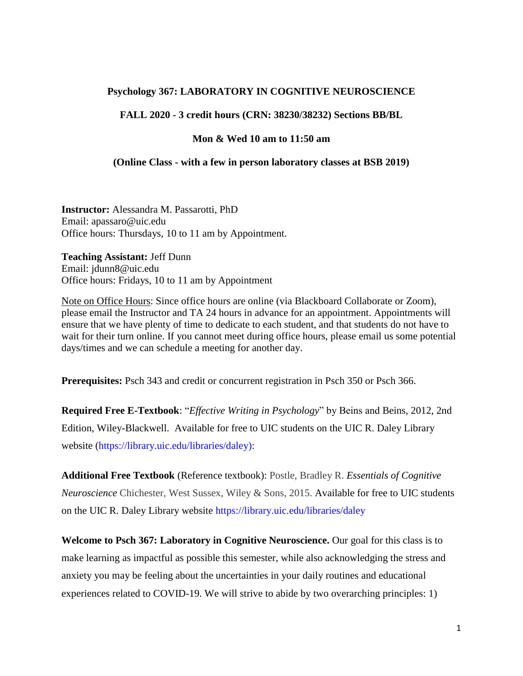## **Psychology 367: LABORATORY IN COGNITIVE NEUROSCIENCE**

#### **FALL 2020 - 3 credit hours (CRN: 38230/38232) Sections BB/BL**

#### **Mon & Wed 10 am to 11:50 am**

#### **(Online Class - with a few in person laboratory classes at BSB 2019)**

**Instructor:** Alessandra M. Passarotti, PhD Email: apassaro@uic.edu Office hours: Thursdays, 10 to 11 am by Appointment.

**Teaching Assistant:** Jeff Dunn Email: jdunn8@uic.edu Office hours: Fridays, 10 to 11 am by Appointment

Note on Office Hours: Since office hours are online (via Blackboard Collaborate or Zoom), please email the Instructor and TA 24 hours in advance for an appointment. Appointments will ensure that we have plenty of time to dedicate to each student, and that students do not have to wait for their turn online. If you cannot meet during office hours, please email us some potential days/times and we can schedule a meeting for another day.

**Prerequisites:** [Psch](https://catalog.uic.edu/search/?P=PSCH%20366) 343 and credit or concurrent registration in Psch 350 or Psch 366.

**Required Free E-Textbook**: "*Effective Writing in Psychology*" by Beins and Beins, 2012, 2nd Edition, Wiley-Blackwell. Available for free to UIC students on the UIC R. Daley Library website [\(https://library.uic.edu/libraries/daley\)](https://library.uic.edu/libraries/daley):

**Additional Free Textbook** (Reference textbook): Postle, Bradley R. *[Essentials](https://ebookcentral-proquest-com.proxy.cc.uic.edu/lib/uic/detail.action?pq-origsite=primo&docID=1919320) of Cognitive [Neuroscience](https://ebookcentral-proquest-com.proxy.cc.uic.edu/lib/uic/detail.action?pq-origsite=primo&docID=1919320)* Chichester, West Sussex, Wiley & Sons, 2015. Available for free to UIC students on the UIC R. Daley Library website <https://library.uic.edu/libraries/daley>

**Welcome to Psch 367: Laboratory in Cognitive Neuroscience.** Our goal for this class is to make learning as impactful as possible this semester, while also acknowledging the stress and anxiety you may be feeling about the uncertainties in your daily routines and educational experiences related to COVID-19. We will strive to abide by two overarching principles: 1)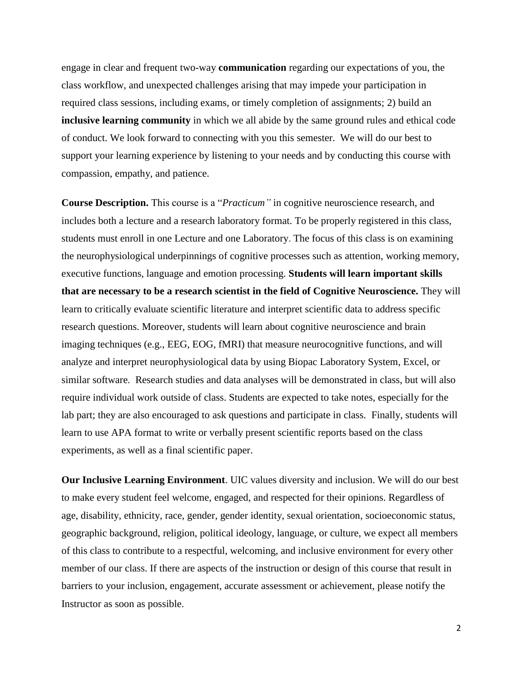engage in clear and frequent two-way **communication** regarding our expectations of you, the class workflow, and unexpected challenges arising that may impede your participation in required class sessions, including exams, or timely completion of assignments; 2) build an **inclusive learning community** in which we all abide by the same ground rules and ethical code of conduct. We look forward to connecting with you this semester. We will do our best to support your learning experience by listening to your needs and by conducting this course with compassion, empathy, and patience.

**Course Description.** This course is a "*Practicum"* in cognitive neuroscience research, and includes both a lecture and a research laboratory format. To be properly registered in this class, students must enroll in one Lecture and one Laboratory. The focus of this class is on examining the neurophysiological underpinnings of cognitive processes such as attention, working memory, executive functions, language and emotion processing. **Students will learn important skills that are necessary to be a research scientist in the field of Cognitive Neuroscience.** They will learn to critically evaluate scientific literature and interpret scientific data to address specific research questions. Moreover, students will learn about cognitive neuroscience and brain imaging techniques (e.g., EEG, EOG, fMRI) that measure neurocognitive functions, and will analyze and interpret neurophysiological data by using Biopac Laboratory System, Excel, or similar software. Research studies and data analyses will be demonstrated in class, but will also require individual work outside of class. Students are expected to take notes, especially for the lab part; they are also encouraged to ask questions and participate in class. Finally, students will learn to use APA format to write or verbally present scientific reports based on the class experiments, as well as a final scientific paper.

**Our Inclusive Learning Environment**. UIC values diversity and inclusion. We will do our best to make every student feel welcome, engaged, and respected for their opinions. Regardless of age, disability, ethnicity, race, gender, gender identity, sexual orientation, socioeconomic status, geographic background, religion, political ideology, language, or culture, we expect all members of this class to contribute to a respectful, welcoming, and inclusive environment for every other member of our class. If there are aspects of the instruction or design of this course that result in barriers to your inclusion, engagement, accurate assessment or achievement, please notify the Instructor as soon as possible.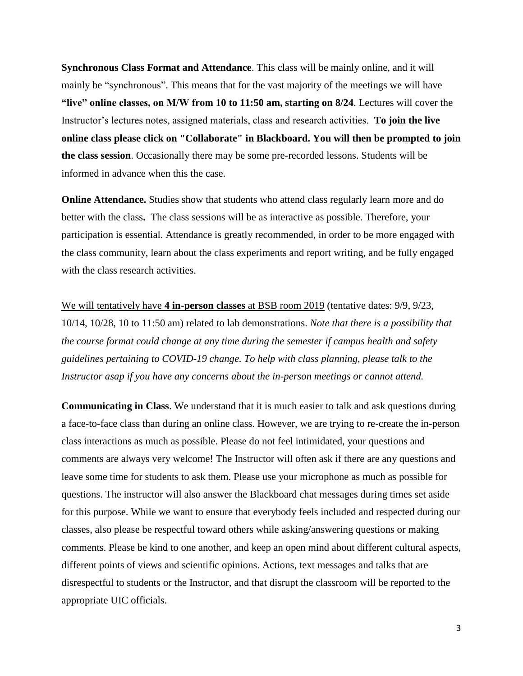**Synchronous Class Format and Attendance**. This class will be mainly online, and it will mainly be "synchronous". This means that for the vast majority of the meetings we will have **"live" online classes, on M/W from 10 to 11:50 am, starting on 8/24**. Lectures will cover the Instructor's lectures notes, assigned materials, class and research activities. **To join the live online class please click on "Collaborate" in Blackboard. You will then be prompted to join the class session**. Occasionally there may be some pre-recorded lessons. Students will be informed in advance when this the case.

**Online Attendance.** Studies show that students who attend class regularly learn more and do better with the class**.** The class sessions will be as interactive as possible. Therefore, your participation is essential. Attendance is greatly recommended, in order to be more engaged with the class community, learn about the class experiments and report writing, and be fully engaged with the class research activities.

We will tentatively have **4 in-person classes** at BSB room 2019 (tentative dates: 9/9, 9/23, 10/14, 10/28, 10 to 11:50 am) related to lab demonstrations. *Note that there is a possibility that the course format could change at any time during the semester if campus health and safety guidelines pertaining to COVID-19 change. To help with class planning, please talk to the Instructor asap if you have any concerns about the in-person meetings or cannot attend.*

**Communicating in Class**. We understand that it is much easier to talk and ask questions during a face-to-face class than during an online class. However, we are trying to re-create the in-person class interactions as much as possible. Please do not feel intimidated, your questions and comments are always very welcome! The Instructor will often ask if there are any questions and leave some time for students to ask them. Please use your microphone as much as possible for questions. The instructor will also answer the Blackboard chat messages during times set aside for this purpose. While we want to ensure that everybody feels included and respected during our classes, also please be respectful toward others while asking/answering questions or making comments. Please be kind to one another, and keep an open mind about different cultural aspects, different points of views and scientific opinions. Actions, text messages and talks that are disrespectful to students or the Instructor, and that disrupt the classroom will be reported to the appropriate UIC officials.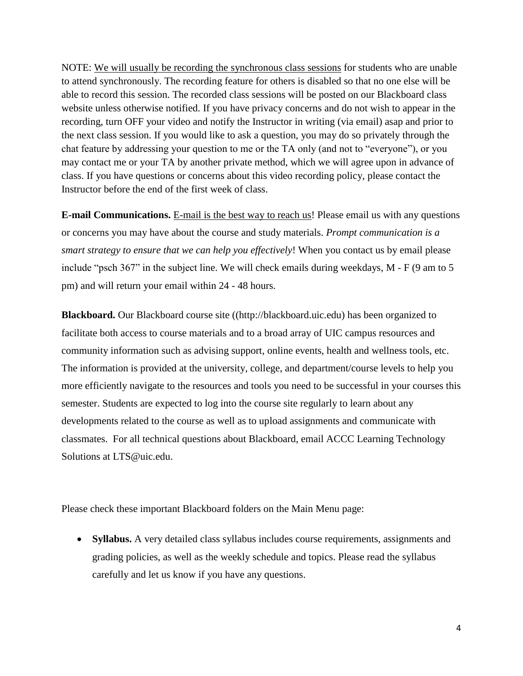NOTE: We will usually be recording the synchronous class sessions for students who are unable to attend synchronously. The recording feature for others is disabled so that no one else will be able to record this session. The recorded class sessions will be posted on our Blackboard class website unless otherwise notified. If you have privacy concerns and do not wish to appear in the recording, turn OFF your video and notify the Instructor in writing (via email) asap and prior to the next class session. If you would like to ask a question, you may do so privately through the chat feature by addressing your question to me or the TA only (and not to "everyone"), or you may contact me or your TA by another private method, which we will agree upon in advance of class. If you have questions or concerns about this video recording policy, please contact the Instructor before the end of the first week of class.

**E-mail Communications.** E-mail is the best way to reach us! Please email us with any questions or concerns you may have about the course and study materials. *Prompt communication is a smart strategy to ensure that we can help you effectively*! When you contact us by email please include "psch 367" in the subject line. We will check emails during weekdays, M - F (9 am to 5 pm) and will return your email within 24 - 48 hours.

**Blackboard.** Our Blackboard course site ([\(http://blackboard.uic.edu\)](http://blackboard.uic.edu/) has been organized to facilitate both access to course materials and to a broad array of UIC campus resources and community information such as advising support, online events, health and wellness tools, etc. The information is provided at the university, college, and department/course levels to help you more efficiently navigate to the resources and tools you need to be successful in your courses this semester. Students are expected to log into the course site regularly to learn about any developments related to the course as well as to upload assignments and communicate with classmates. For all technical questions about Blackboard, email ACCC Learning Technology Solutions at [LTS@uic.edu.](mailto:LTS@uic.edu)

Please check these important Blackboard folders on the Main Menu page:

 **Syllabus.** A very detailed class syllabus includes course requirements, assignments and grading policies, as well as the weekly schedule and topics. Please read the syllabus carefully and let us know if you have any questions.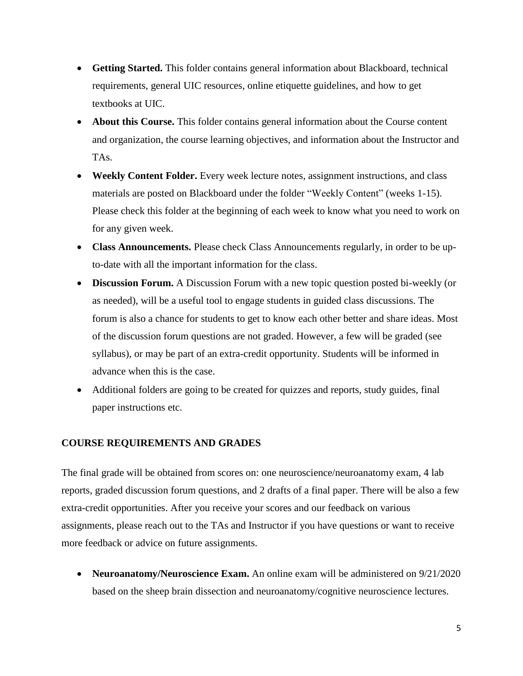- **Getting Started.** This folder contains general information about Blackboard, technical requirements, general UIC resources, online etiquette guidelines, and how to get textbooks at UIC.
- **About this Course.** This folder contains general information about the Course content and organization, the course learning objectives, and information about the Instructor and TAs.
- **Weekly Content Folder.** Every week lecture notes, assignment instructions, and class materials are posted on Blackboard under the folder "Weekly Content" (weeks 1-15). Please check this folder at the beginning of each week to know what you need to work on for any given week.
- **Class Announcements.** Please check Class Announcements regularly, in order to be upto-date with all the important information for the class.
- **Discussion Forum.** A Discussion Forum with a new topic question posted bi-weekly (or as needed), will be a useful tool to engage students in guided class discussions. The forum is also a chance for students to get to know each other better and share ideas. Most of the discussion forum questions are not graded. However, a few will be graded (see syllabus), or may be part of an extra-credit opportunity. Students will be informed in advance when this is the case.
- Additional folders are going to be created for quizzes and reports, study guides, final paper instructions etc.

## **COURSE REQUIREMENTS AND GRADES**

The final grade will be obtained from scores on: one neuroscience/neuroanatomy exam, 4 lab reports, graded discussion forum questions, and 2 drafts of a final paper. There will be also a few extra-credit opportunities. After you receive your scores and our feedback on various assignments, please reach out to the TAs and Instructor if you have questions or want to receive more feedback or advice on future assignments.

• Neuroanatomy/Neuroscience Exam. An online exam will be administered on  $9/21/2020$ based on the sheep brain dissection and neuroanatomy/cognitive neuroscience lectures.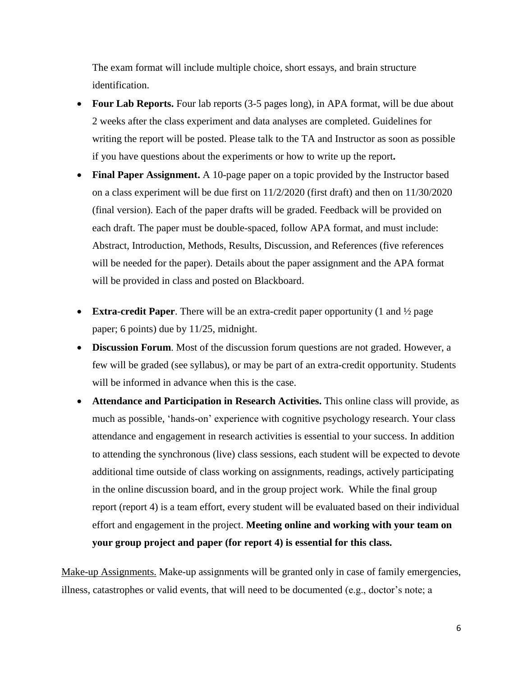The exam format will include multiple choice, short essays, and brain structure identification.

- Four Lab Reports. Four lab reports (3-5 pages long), in APA format, will be due about 2 weeks after the class experiment and data analyses are completed. Guidelines for writing the report will be posted. Please talk to the TA and Instructor as soon as possible if you have questions about the experiments or how to write up the report**.**
- **Final Paper Assignment.** A 10-page paper on a topic provided by the Instructor based on a class experiment will be due first on 11/2/2020 (first draft) and then on 11/30/2020 (final version). Each of the paper drafts will be graded. Feedback will be provided on each draft. The paper must be double-spaced, follow APA format, and must include: Abstract, Introduction, Methods, Results, Discussion, and References (five references will be needed for the paper). Details about the paper assignment and the APA format will be provided in class and posted on Blackboard.
- **Extra-credit Paper**. There will be an extra-credit paper opportunity (1 and ½ page paper; 6 points) due by 11/25, midnight.
- **Discussion Forum**. Most of the discussion forum questions are not graded. However, a few will be graded (see syllabus), or may be part of an extra-credit opportunity. Students will be informed in advance when this is the case.
- **Attendance and Participation in Research Activities.** This online class will provide, as much as possible, 'hands-on' experience with cognitive psychology research. Your class attendance and engagement in research activities is essential to your success. In addition to attending the synchronous (live) class sessions, each student will be expected to devote additional time outside of class working on assignments, readings, actively participating in the online discussion board, and in the group project work. While the final group report (report 4) is a team effort, every student will be evaluated based on their individual effort and engagement in the project. **Meeting online and working with your team on your group project and paper (for report 4) is essential for this class.**

Make-up Assignments. Make-up assignments will be granted only in case of family emergencies, illness, catastrophes or valid events, that will need to be documented (e.g., doctor's note; a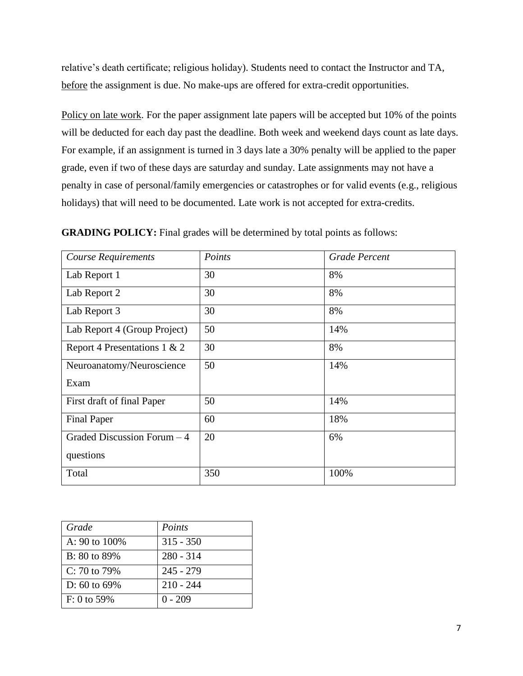relative's death certificate; religious holiday). Students need to contact the Instructor and TA, before the assignment is due. No make-ups are offered for extra-credit opportunities.

Policy on late work. For the paper assignment late papers will be accepted but 10% of the points will be deducted for each day past the deadline. Both week and weekend days count as late days. For example, if an assignment is turned in 3 days late a 30% penalty will be applied to the paper grade, even if two of these days are saturday and sunday. Late assignments may not have a penalty in case of personal/family emergencies or catastrophes or for valid events (e.g., religious holidays) that will need to be documented. Late work is not accepted for extra-credits.

| <b>Course Requirements</b>   | Points | <b>Grade Percent</b> |  |
|------------------------------|--------|----------------------|--|
| Lab Report 1                 | 30     | 8%                   |  |
| Lab Report 2                 | 30     | 8%                   |  |
| Lab Report 3                 | 30     | 8%                   |  |
| Lab Report 4 (Group Project) | 50     | 14%                  |  |
| Report 4 Presentations 1 & 2 | 30     | 8%                   |  |
| Neuroanatomy/Neuroscience    | 50     | 14%                  |  |
| Exam                         |        |                      |  |
| First draft of final Paper   | 50     | 14%                  |  |
| <b>Final Paper</b>           | 60     | 18%                  |  |
| Graded Discussion Forum - 4  | 20     | 6%                   |  |
| questions                    |        |                      |  |
| Total                        | 350    | 100%                 |  |

**GRADING POLICY:** Final grades will be determined by total points as follows:

| Grade                | Points      |
|----------------------|-------------|
| A: 90 to $100\%$     | $315 - 350$ |
| B: 80 to 89%         | $280 - 314$ |
| $C: 70$ to 79%       | $245 - 279$ |
| $\vert$ D: 60 to 69% | $210 - 244$ |
| l F: 0 to 59%        | $0 - 209$   |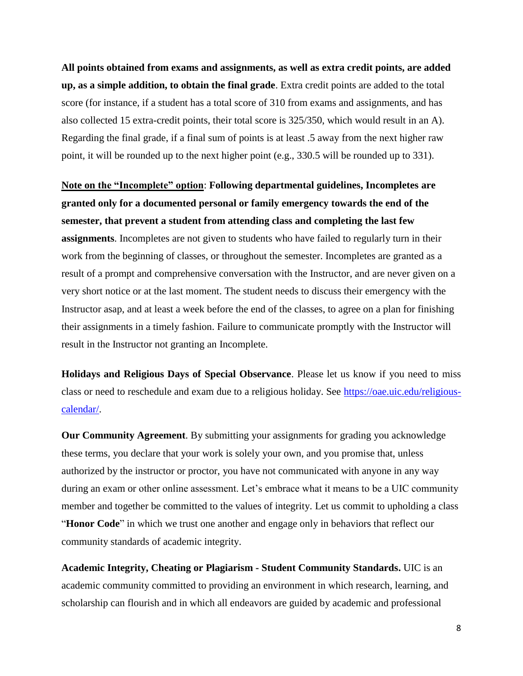**All points obtained from exams and assignments, as well as extra credit points, are added up, as a simple addition, to obtain the final grade**. Extra credit points are added to the total score (for instance, if a student has a total score of 310 from exams and assignments, and has also collected 15 extra-credit points, their total score is 325/350, which would result in an A). Regarding the final grade, if a final sum of points is at least .5 away from the next higher raw point, it will be rounded up to the next higher point (e.g., 330.5 will be rounded up to 331).

**Note on the "Incomplete" option**: **Following departmental guidelines, Incompletes are granted only for a documented personal or family emergency towards the end of the semester, that prevent a student from attending class and completing the last few assignments**. Incompletes are not given to students who have failed to regularly turn in their work from the beginning of classes, or throughout the semester. Incompletes are granted as a result of a prompt and comprehensive conversation with the Instructor, and are never given on a very short notice or at the last moment. The student needs to discuss their emergency with the Instructor asap, and at least a week before the end of the classes, to agree on a plan for finishing their assignments in a timely fashion. Failure to communicate promptly with the Instructor will result in the Instructor not granting an Incomplete.

**Holidays and Religious Days of Special Observance**. Please let us know if you need to miss class or need to reschedule and exam due to a religious holiday. See [https://oae.uic.edu/religious](https://oae.uic.edu/religious-calendar/)[calendar/.](https://oae.uic.edu/religious-calendar/)

**Our Community Agreement**. By submitting your assignments for grading you acknowledge these terms, you declare that your work is solely your own, and you promise that, unless authorized by the instructor or proctor, you have not communicated with anyone in any way during an exam or other online assessment. Let's embrace what it means to be a UIC community member and together be committed to the values of integrity. Let us commit to upholding a class "**Honor Code**" in which we trust one another and engage only in behaviors that reflect our community standards of academic integrity.

**Academic Integrity, Cheating or Plagiarism - Student Community Standards.** UIC is an academic community committed to providing an environment in which research, learning, and scholarship can flourish and in which all endeavors are guided by academic and professional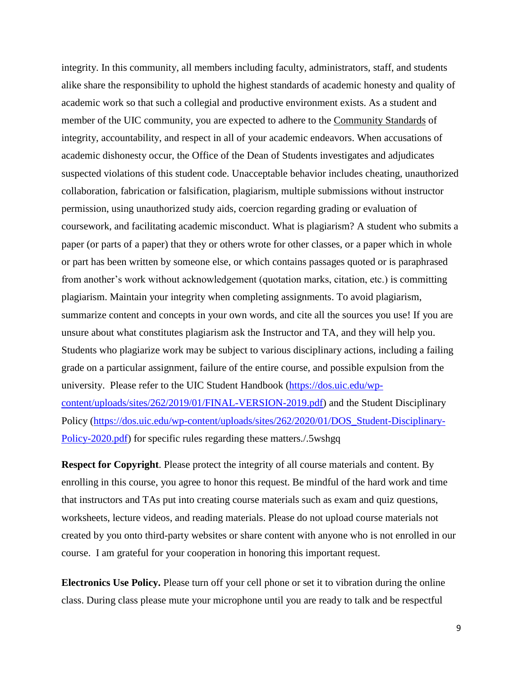integrity. In this community, all members including faculty, administrators, staff, and students alike share the responsibility to uphold the highest standards of academic honesty and quality of academic work so that such a collegial and productive environment exists. As a student and member of the UIC community, you are expected to adhere to the [Community Standards](https://dos.uic.edu/community-standards/) of integrity, accountability, and respect in all of your academic endeavors. When [accusations of](https://dos.uic.edu/community-standards/academic-integrity/)  [academic dishonesty](https://dos.uic.edu/community-standards/academic-integrity/) occur, the Office of the Dean of Students investigates and adjudicates suspected violations of this student code. Unacceptable behavior includes cheating, unauthorized collaboration, fabrication or falsification, plagiarism, multiple submissions without instructor permission, using unauthorized study aids, coercion regarding grading or evaluation of coursework, and facilitating academic misconduct. What is plagiarism? A student who submits a paper (or parts of a paper) that they or others wrote for other classes, or a paper which in whole or part has been written by someone else, or which contains passages quoted or is paraphrased from another's work without acknowledgement (quotation marks, citation, etc.) is committing plagiarism. Maintain your integrity when completing assignments. To avoid plagiarism, summarize content and concepts in your own words, and cite all the sources you use! If you are unsure about what constitutes plagiarism ask the Instructor and TA, and they will help you. Students who plagiarize work may be subject to various disciplinary actions, including a failing grade on a particular assignment, failure of the entire course, and possible expulsion from the university. Please refer to the UIC Student Handbook [\(https://dos.uic.edu/wp](https://dos.uic.edu/wp-content/uploads/sites/262/2019/01/FINAL-VERSION-2019.pdf)[content/uploads/sites/262/2019/01/FINAL-VERSION-2019.pdf\)](https://dos.uic.edu/wp-content/uploads/sites/262/2019/01/FINAL-VERSION-2019.pdf) and the Student Disciplinary Policy [\(https://dos.uic.edu/wp-content/uploads/sites/262/2020/01/DOS\\_Student-Disciplinary-](https://dos.uic.edu/wp-content/uploads/sites/262/2020/01/DOS_Student-Disciplinary-Policy-2020.pdf)[Policy-2020.pdf\)](https://dos.uic.edu/wp-content/uploads/sites/262/2020/01/DOS_Student-Disciplinary-Policy-2020.pdf) for specific rules regarding these matters./.5wshgq

**Respect for Copyright**. Please protect the integrity of all course materials and content. By enrolling in this course, you agree to honor this request. Be mindful of the hard work and time that instructors and TAs put into creating course materials such as exam and quiz questions, worksheets, lecture videos, and reading materials. Please do not upload course materials not created by you onto third-party websites or share content with anyone who is not enrolled in our course. I am grateful for your cooperation in honoring this important request.

**Electronics Use Policy.** Please turn off your cell phone or set it to vibration during the online class. During class please mute your microphone until you are ready to talk and be respectful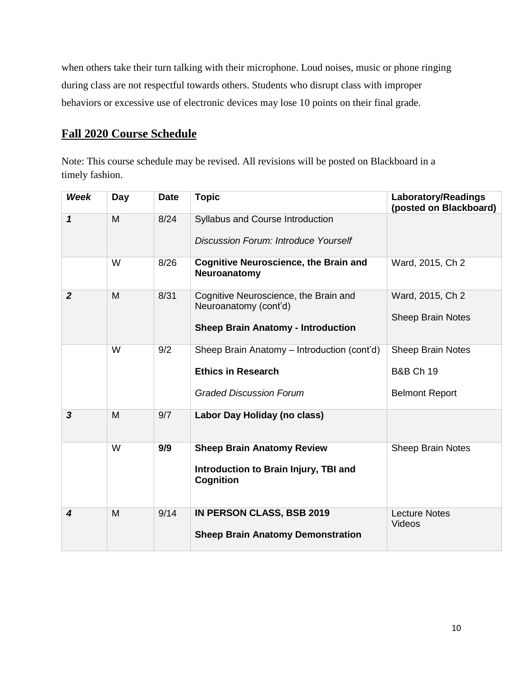when others take their turn talking with their microphone. Loud noises, music or phone ringing during class are not respectful towards others. Students who disrupt class with improper behaviors or excessive use of electronic devices may lose 10 points on their final grade.

# **Fall 2020 Course Schedule**

Note: This course schedule may be revised. All revisions will be posted on Blackboard in a timely fashion.

| <b>Week</b>             | Day | <b>Date</b> | <b>Topic</b>                                                                                                | <b>Laboratory/Readings</b><br>(posted on Blackboard)               |
|-------------------------|-----|-------------|-------------------------------------------------------------------------------------------------------------|--------------------------------------------------------------------|
| $\mathbf{1}$            | M   | 8/24        | Syllabus and Course Introduction<br>Discussion Forum: Introduce Yourself                                    |                                                                    |
|                         | W   | 8/26        | <b>Cognitive Neuroscience, the Brain and</b><br>Neuroanatomy                                                | Ward, 2015, Ch 2                                                   |
| $\overline{2}$          | M   | 8/31        | Cognitive Neuroscience, the Brain and<br>Neuroanatomy (cont'd)<br><b>Sheep Brain Anatomy - Introduction</b> | Ward, 2015, Ch 2<br><b>Sheep Brain Notes</b>                       |
|                         | W   | 9/2         | Sheep Brain Anatomy - Introduction (cont'd)<br><b>Ethics in Research</b><br><b>Graded Discussion Forum</b>  | Sheep Brain Notes<br><b>B&amp;B Ch 19</b><br><b>Belmont Report</b> |
| $\overline{\mathbf{3}}$ | M   | 9/7         | Labor Day Holiday (no class)                                                                                |                                                                    |
|                         | W   | 9/9         | <b>Sheep Brain Anatomy Review</b><br>Introduction to Brain Injury, TBI and<br>Cognition                     | <b>Sheep Brain Notes</b>                                           |
| 4                       | M   | 9/14        | <b>IN PERSON CLASS, BSB 2019</b><br><b>Sheep Brain Anatomy Demonstration</b>                                | <b>Lecture Notes</b><br>Videos                                     |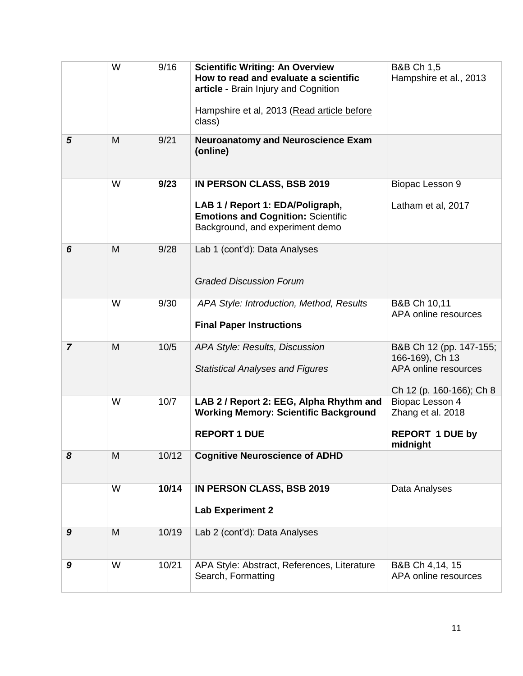|                | W | 9/16  | <b>Scientific Writing: An Overview</b><br>How to read and evaluate a scientific<br>article - Brain Injury and Cognition<br>Hampshire et al, 2013 (Read article before<br>class) | <b>B&amp;B Ch 1,5</b><br>Hampshire et al., 2013                                                |
|----------------|---|-------|---------------------------------------------------------------------------------------------------------------------------------------------------------------------------------|------------------------------------------------------------------------------------------------|
| 5              | M | 9/21  | <b>Neuroanatomy and Neuroscience Exam</b><br>(online)                                                                                                                           |                                                                                                |
|                | W | 9/23  | <b>IN PERSON CLASS, BSB 2019</b><br>LAB 1 / Report 1: EDA/Poligraph,<br><b>Emotions and Cognition: Scientific</b><br>Background, and experiment demo                            | Biopac Lesson 9<br>Latham et al, 2017                                                          |
| 6              | M | 9/28  | Lab 1 (cont'd): Data Analyses<br><b>Graded Discussion Forum</b>                                                                                                                 |                                                                                                |
|                | W | 9/30  | APA Style: Introduction, Method, Results<br><b>Final Paper Instructions</b>                                                                                                     | B&B Ch 10,11<br>APA online resources                                                           |
| $\overline{7}$ | M | 10/5  | APA Style: Results, Discussion<br><b>Statistical Analyses and Figures</b>                                                                                                       | B&B Ch 12 (pp. 147-155;<br>166-169), Ch 13<br>APA online resources<br>Ch 12 (p. 160-166); Ch 8 |
|                | W | 10/7  | LAB 2 / Report 2: EEG, Alpha Rhythm and<br><b>Working Memory: Scientific Background</b><br><b>REPORT 1 DUE</b>                                                                  | Biopac Lesson 4<br>Zhang et al. 2018<br><b>REPORT 1 DUE by</b><br>midnight                     |
| 8              | M | 10/12 | <b>Cognitive Neuroscience of ADHD</b>                                                                                                                                           |                                                                                                |
|                | W | 10/14 | <b>IN PERSON CLASS, BSB 2019</b><br><b>Lab Experiment 2</b>                                                                                                                     | Data Analyses                                                                                  |
| 9              | M | 10/19 | Lab 2 (cont'd): Data Analyses                                                                                                                                                   |                                                                                                |
| 9              | W | 10/21 | APA Style: Abstract, References, Literature<br>Search, Formatting                                                                                                               | B&B Ch 4,14, 15<br>APA online resources                                                        |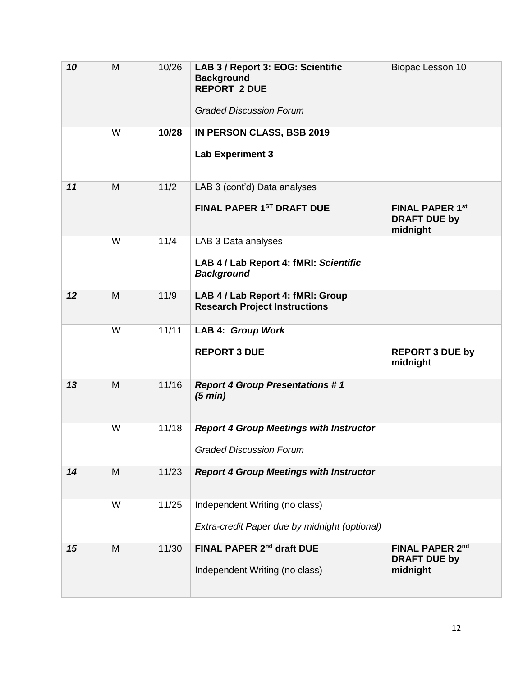| 10 | M | 10/26 | LAB 3 / Report 3: EOG: Scientific<br><b>Background</b><br><b>REPORT 2 DUE</b><br><b>Graded Discussion Forum</b> | Biopac Lesson 10                                          |
|----|---|-------|-----------------------------------------------------------------------------------------------------------------|-----------------------------------------------------------|
|    | W | 10/28 | IN PERSON CLASS, BSB 2019<br><b>Lab Experiment 3</b>                                                            |                                                           |
| 11 | M | 11/2  | LAB 3 (cont'd) Data analyses<br>FINAL PAPER 1ST DRAFT DUE                                                       | <b>FINAL PAPER 1st</b><br><b>DRAFT DUE by</b><br>midnight |
|    | W | 11/4  | LAB 3 Data analyses<br>LAB 4 / Lab Report 4: fMRI: Scientific<br><b>Background</b>                              |                                                           |
| 12 | M | 11/9  | LAB 4 / Lab Report 4: fMRI: Group<br><b>Research Project Instructions</b>                                       |                                                           |
|    | W | 11/11 | LAB 4: Group Work<br><b>REPORT 3 DUE</b>                                                                        | <b>REPORT 3 DUE by</b><br>midnight                        |
| 13 | M | 11/16 | <b>Report 4 Group Presentations #1</b><br>(5 min)                                                               |                                                           |
|    | W | 11/18 | <b>Report 4 Group Meetings with Instructor</b><br><b>Graded Discussion Forum</b>                                |                                                           |
| 14 | M | 11/23 | <b>Report 4 Group Meetings with Instructor</b>                                                                  |                                                           |
|    | W | 11/25 | Independent Writing (no class)<br>Extra-credit Paper due by midnight (optional)                                 |                                                           |
| 15 | M | 11/30 | FINAL PAPER 2nd draft DUE<br>Independent Writing (no class)                                                     | <b>FINAL PAPER 2nd</b><br><b>DRAFT DUE by</b><br>midnight |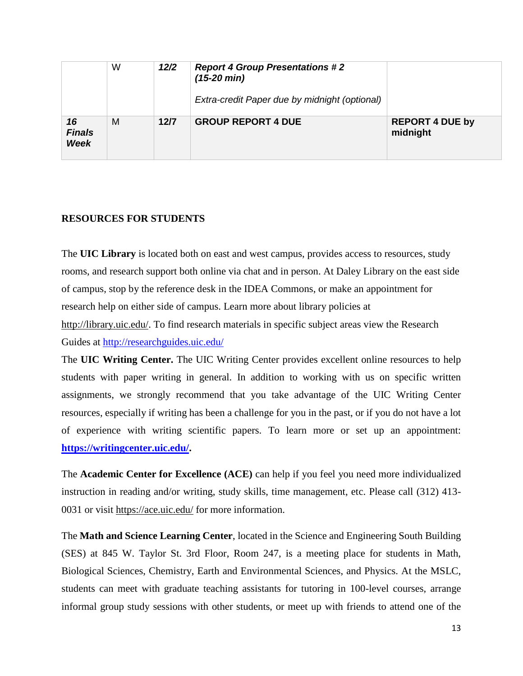|                             | W | 12/2 | <b>Report 4 Group Presentations #2</b><br>$(15-20 \text{ min})$<br>Extra-credit Paper due by midnight (optional) |                                    |
|-----------------------------|---|------|------------------------------------------------------------------------------------------------------------------|------------------------------------|
| 16<br><b>Finals</b><br>Week | M | 12/7 | <b>GROUP REPORT 4 DUE</b>                                                                                        | <b>REPORT 4 DUE by</b><br>midnight |

## **RESOURCES FOR STUDENTS**

The **UIC Library** is located both on east and west campus, provides access to resources, study rooms, and research support both online via chat and in person. At Daley Library on the east side of campus, stop by the reference desk in the IDEA Commons, or make an appointment for research help on either side of campus. Learn more about library policies at

[http://library.uic.edu/.](http://library.uic.edu/) To find research materials in specific subject areas view the Research Guides at<http://researchguides.uic.edu/>

The **UIC Writing Center.** The UIC Writing Center provides excellent online resources to help students with paper writing in general. In addition to working with us on specific written assignments, we strongly recommend that you take advantage of the UIC Writing Center resources, especially if writing has been a challenge for you in the past, or if you do not have a lot of experience with writing scientific papers. To learn more or set up an appointment: **[https://writingcenter.uic.edu/.](https://writingcenter.uic.edu/)**

The **Academic Center for Excellence (ACE)** can help if you feel you need more individualized instruction in reading and/or writing, study skills, time management, etc. Please call (312) 413- 0031 or visit<https://ace.uic.edu/> for more information.

The **Math and Science Learning Center**, located in the Science and Engineering South Building (SES) at 845 W. Taylor St. 3rd Floor, Room 247, is a meeting place for students in Math, Biological Sciences, Chemistry, Earth and Environmental Sciences, and Physics. At the MSLC, students can meet with graduate teaching assistants for tutoring in 100-level courses, arrange informal group study sessions with other students, or meet up with friends to attend one of the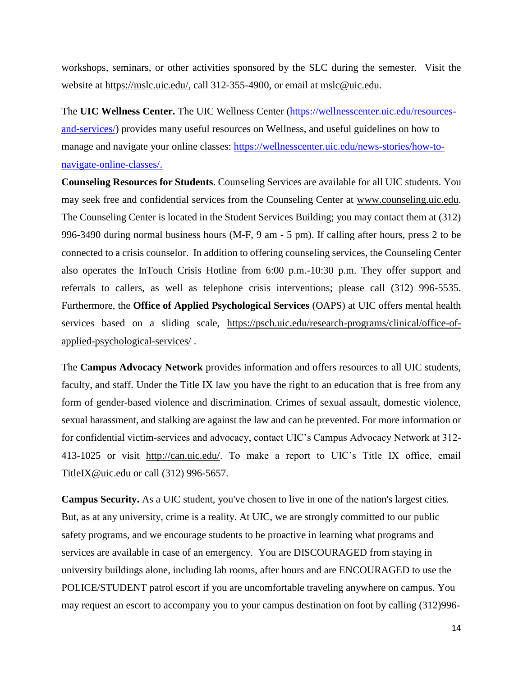workshops, seminars, or other activities sponsored by the SLC during the semester. Visit the website at [https://mslc.uic.edu/,](https://mslc.uic.edu/) call 312-355-4900, or email at [mslc@uic.edu.](mailto:mslc@uic.edu)

The **UIC Wellness Center.** The UIC Wellness Center [\(https://wellnesscenter.uic.edu/resources](https://wellnesscenter.uic.edu/resources-and-services/)[and-services/\)](https://wellnesscenter.uic.edu/resources-and-services/) provides many useful resources on Wellness, and useful guidelines on how to manage and navigate your online classes: [https://wellnesscenter.uic.edu/news-stories/how-to](https://wellnesscenter.uic.edu/news-stories/how-to-navigate-online-classes/)[navigate-online-classes/.](https://wellnesscenter.uic.edu/news-stories/how-to-navigate-online-classes/)

**Counseling Resources for Students**. Counseling Services are available for all UIC students. You may seek free and confidential services from the Counseling Center at [www.counseling.uic.edu.](http://www.counseling.uic.edu/) The Counseling Center is located in the Student Services Building; you may contact them at (312) 996-3490 during normal business hours (M-F, 9 am - 5 pm). If calling after hours, press 2 to be connected to a crisis counselor. In addition to offering counseling services, the Counseling Center also operates the InTouch Crisis Hotline from 6:00 p.m.-10:30 p.m. They offer support and referrals to callers, as well as telephone crisis interventions; please call (312) 996-5535. Furthermore, the **Office of Applied Psychological Services** (OAPS) at UIC offers mental health services based on a sliding scale, [https://psch.uic.edu/research-programs/clinical/office-of](https://psch.uic.edu/research-programs/clinical/office-of-applied-psychological-services/)[applied-psychological-services/](https://psch.uic.edu/research-programs/clinical/office-of-applied-psychological-services/) .

The **Campus Advocacy Network** provides information and offers resources to all UIC students, faculty, and staff. Under the Title IX law you have the right to an education that is free from any form of gender-based violence and discrimination. Crimes of sexual assault, domestic violence, sexual harassment, and stalking are against the law and can be prevented. For more information or for confidential victim-services and advocacy, contact UIC's Campus Advocacy Network at 312- 413-1025 or visit [http://can.uic.edu/.](http://can.uic.edu/) To make a report to UIC's Title IX office, email [TitleIX@uic.edu](mailto:TitleIX@uic.edu) or call (312) 996-5657.

**Campus Security.** As a UIC student, you've chosen to live in one of the nation's largest cities. But, as at any university, crime is a reality. At UIC, we are strongly committed to our public safety programs, and we encourage students to be proactive in learning what programs and services are available in case of an emergency. You are DISCOURAGED from staying in university buildings alone, including lab rooms, after hours and are ENCOURAGED to use the POLICE/STUDENT patrol escort if you are uncomfortable traveling anywhere on campus. You may request an escort to accompany you to your campus destination on foot by calling (312)996